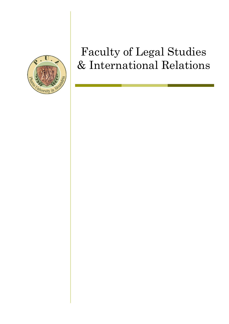

# Faculty of Legal Studies & International Relations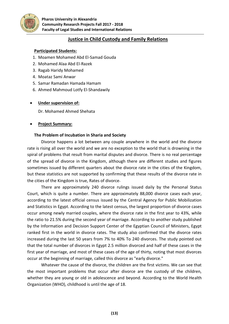

# **Justice in Child Custody and Family Relations**

# **Participated Students:**

- 1. Moamen Mohamed Abd El-Samad Gouda
- 2. Mohamed Alaa Abd El-Razek
- 3. Ragab Haridy Mohamed
- 4. Moataz Sami Anwar
- 5. Samar Ramadan Hamada Hamam
- 6. Ahmed Mahmoud Lotfy El-Shandawily

#### **Under supervision of:**

Dr. Mohamed Ahmed Shehata

# **Project Summary:**

#### **The Problem of Incubation in Sharia and Society**

Divorce happens a lot between any couple anywhere in the world and the divorce rate is rising all over the world and we are no exception to the world that is drowning in the spiral of problems that result from marital disputes and divorce. There is no real percentage of the spread of divorce in the Kingdom, although there are different studies and figures sometimes issued by different quarters about the divorce rate in the cities of the Kingdom, but these statistics are not supported by confirming that these results of the divorce rate in the cities of the Kingdom is true, Rates of divorce.

There are approximately 240 divorce rulings issued daily by the Personal Status Court, which is quite a number. There are approximately 88,000 divorce cases each year, according to the latest official census issued by the Central Agency for Public Mobilization and Statistics in Egypt. According to the latest census, the largest proportion of divorce cases occur among newly married couples, where the divorce rate in the first year to 43%, while the ratio to 21.5% during the second year of marriage. According to another study published by the Information and Decision Support Center of the Egyptian Council of Ministers, Egypt ranked first in the world in divorce rates. The study also confirmed that the divorce rates increased during the last 50 years from 7% to 40% To 240 divorces. The study pointed out that the total number of divorces in Egypt 2.5 million divorced and half of these cases in the first year of marriage, and most of these cases of the age of thirty, noting that most divorces occur at the beginning of marriage, called this divorce as "early divorce."

Whatever the cause of the divorce, the children are the first victims. We can see that the most important problems that occur after divorce are the custody of the children, whether they are young or old in adolescence and beyond. According to the World Health Organization (WHO), childhood is until the age of 18.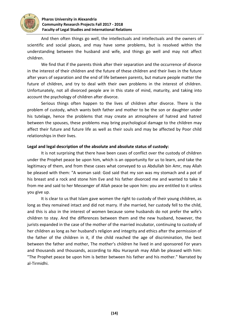

#### **Pharos University in Alexandria Community Research Projects Fall 2017 - 2018 Faculty of Legal Studies and International Relations**

And then often things go well, the intellectuals and intellectuals and the owners of scientific and social places, and may have some problems, but is resolved within the understanding between the husband and wife, and things go well and may not affect children.

We find that if the parents think after their separation and the occurrence of divorce in the interest of their children and the future of these children and their lives in the future after years of separation and the end of life between parents, but mature people matter the future of children, and try to deal with their own problems in the interest of children. Unfortunately, not all divorced people are in this state of mind, maturity, and taking into account the psychology of children after divorce.

Serious things often happen to the lives of children after divorce. There is the problem of custody, which wants both father and mother to be the son or daughter under his tutelage, hence the problems that may create an atmosphere of hatred and hatred between the spouses, these problems may bring psychological damage to the children may affect their future and future life as well as their souls and may be affected by Poor child relationships in their lives.

# **Legal and legal description of the absolute and absolute status of custody:**

It is not surprising that there have been cases of conflict over the custody of children under the Prophet peace be upon him, which is an opportunity for us to learn, and take the legitimacy of them, and from these cases what conveyed to us Abdullah bin Amr, may Allah be pleased with them: "A woman said: God said that my son was my stomach and a pot of his breast and a rock and stone him Eve and his father divorced me and wanted to take it from me and said to her Messenger of Allah peace be upon him: you are entitled to it unless you give up.

It is clear to us that Islam gave women the right to custody of their young children, as long as they remained intact and did not marry. If she married, her custody fell to the child, and this is also in the interest of women because some husbands do not prefer the wife's children to stay. And the differences between them and the new husband, however, the jurists expanded in the case of the mother of the married incubator, continuing to custody of her children as long as her husband's religion and integrity and ethics after the permission of the father of the children in it, if the child reached the age of discrimination, the best between the father and mother, The mother's children he lived in and sponsored For years and thousands and thousands, according to Abu Hurayrah may Allah be pleased with him: "The Prophet peace be upon him is better between his father and his mother." Narrated by al-Tirmidhi.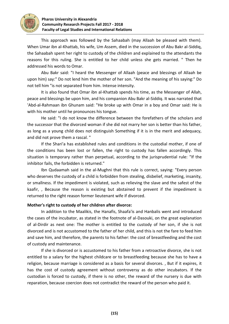

This approach was followed by the Sahaabah (may Allaah be pleased with them). When Umar ibn al-Khattab, his wife, Um Assem, died in the succession of Abu Bakr al-Siddiq, the Sahaabah spent her right to custody of the children and explained to the attendants the reasons for this ruling. She is entitled to her child unless she gets married. " Then he addressed his words to Omar.

Abu Bakr said: "I heard the Messenger of Allaah (peace and blessings of Allaah be upon him) say:" Do not lend him the mother of her son. "And the meaning of his saying:" Do not tell him "is not separated from him. Intense intensity.

It is also found that Omar ibn al-Khattab spends his time, as the Messenger of Allah, peace and blessings be upon him, and his companion Abu Bakr al-Siddiq. It was narrated that 'Abd-al-Rahmaan ibn Ghunam said: "He broke up with Omar in a boy and Omar said: He is with his mother until he pronounces his tongue.

He said: "I do not know the difference between the forefathers of the scholars and the successor that the divorced woman if she did not marry her son is better than his father, as long as a young child does not distinguish Something if it is in the merit and adequacy, and did not prove them a rascal. "

If the Shari'a has established rules and conditions in the custodial mother, if one of the conditions has been lost or fallen, the right to custody has fallen accordingly. This situation is temporary rather than perpetual, according to the jurisprudential rule: "If the inhibitor fails, the forbidden is returned."

Ibn Qudaamah said in the al-Mughni that this rule is correct, saying: "Every person who deserves the custody of a child is forbidden from stealing, disbelief, marketing, insanity, or smallness. If the impediment is violated, such as relieving the slave and the safest of the kaafir, , Because the reason is existing but abstained to prevent if the impediment is returned to the right reason former lieutenant wife if divorced.

# **Mother's right to custody of her children after divorce:**

In addition to the Maalikis, the Hanafis, Shaafa'is and Hanbalis went and introduced the cases of the incubator, as stated in the footnote of al-Dasouki, on the great explanation of al-Dirdir as next one: The mother is entitled to the custody of her son, if she is not divorced and is not accustomed to the father of her child, and this is not the fare to feed him and save him, and therefore, the parents to his father: the cost of breastfeeding and the cost of custody and maintenance.

If she is divorced or is accustomed to his father from a retroactive divorce, she is not entitled to a salary for the highest childcare or to breastfeeding because she has to have a religion, because marriage is considered as a basis for several divorces. , But if it expires, it has the cost of custody agreement without controversy as do other incubators. If the custodian is forced to custody, if there is no other, the reward of the nursery is due with reparation, because coercion does not contradict the reward of the person who paid it.